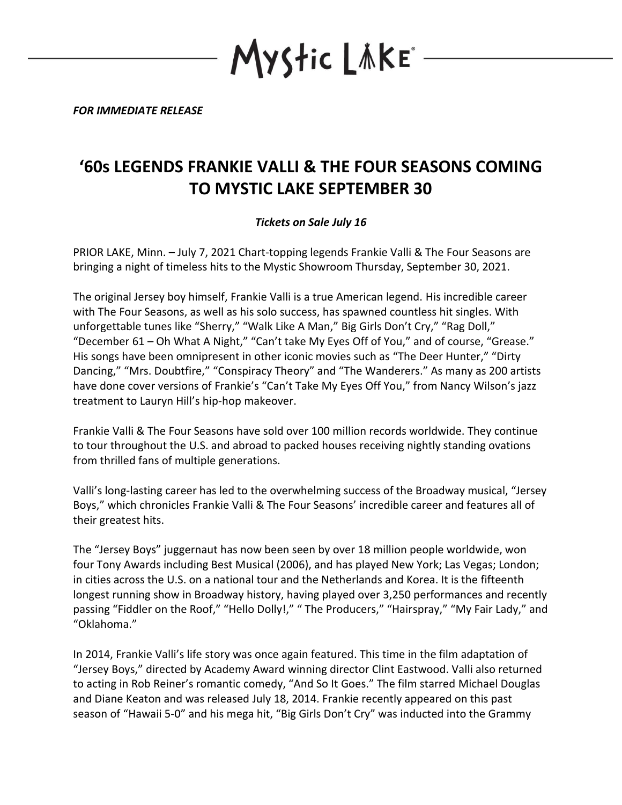*FOR IMMEDIATE RELEASE*

## **'60s LEGENDS FRANKIE VALLI & THE FOUR SEASONS COMING TO MYSTIC LAKE SEPTEMBER 30**

YStic LÄKE°

## *Tickets on Sale July 16*

PRIOR LAKE, Minn. – July 7, 2021 Chart-topping legends Frankie Valli & The Four Seasons are bringing a night of timeless hits to the Mystic Showroom Thursday, September 30, 2021.

The original Jersey boy himself, Frankie Valli is a true American legend. His incredible career with The Four Seasons, as well as his solo success, has spawned countless hit singles. With unforgettable tunes like "Sherry," "Walk Like A Man," Big Girls Don't Cry," "Rag Doll," "December 61 – Oh What A Night," "Can't take My Eyes Off of You," and of course, "Grease." His songs have been omnipresent in other iconic movies such as "The Deer Hunter," "Dirty Dancing," "Mrs. Doubtfire," "Conspiracy Theory" and "The Wanderers." As many as 200 artists have done cover versions of Frankie's "Can't Take My Eyes Off You," from Nancy Wilson's jazz treatment to Lauryn Hill's hip-hop makeover.

Frankie Valli & The Four Seasons have sold over 100 million records worldwide. They continue to tour throughout the U.S. and abroad to packed houses receiving nightly standing ovations from thrilled fans of multiple generations.

Valli's long-lasting career has led to the overwhelming success of the Broadway musical, "Jersey Boys," which chronicles Frankie Valli & The Four Seasons' incredible career and features all of their greatest hits.

The "Jersey Boys" juggernaut has now been seen by over 18 million people worldwide, won four Tony Awards including Best Musical (2006), and has played New York; Las Vegas; London; in cities across the U.S. on a national tour and the Netherlands and Korea. It is the fifteenth longest running show in Broadway history, having played over 3,250 performances and recently passing "Fiddler on the Roof," "Hello Dolly!," " The Producers," "Hairspray," "My Fair Lady," and "Oklahoma."

In 2014, Frankie Valli's life story was once again featured. This time in the film adaptation of "Jersey Boys," directed by Academy Award winning director Clint Eastwood. Valli also returned to acting in Rob Reiner's romantic comedy, "And So It Goes." The film starred Michael Douglas and Diane Keaton and was released July 18, 2014. Frankie recently appeared on this past season of "Hawaii 5-0" and his mega hit, "Big Girls Don't Cry" was inducted into the Grammy